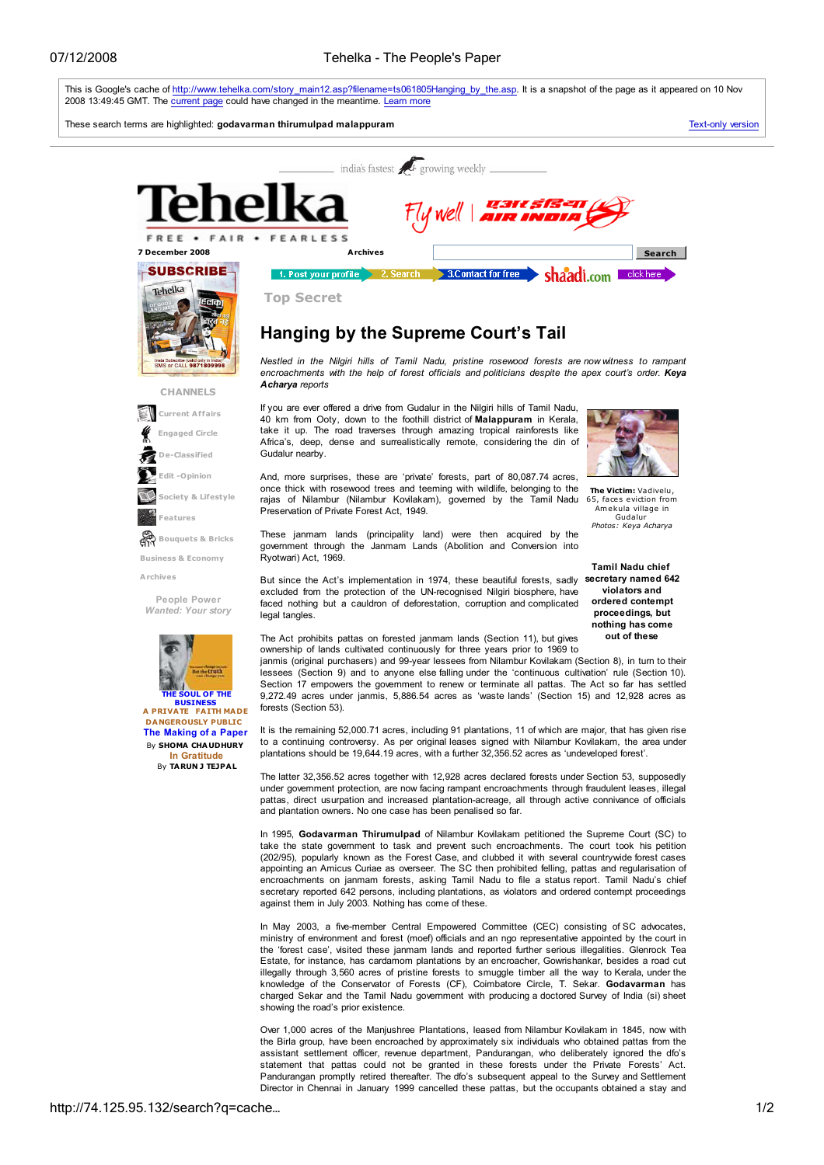

take the state government to task and prevent such encroachments. The court took his petition (202/95), popularly known as the Forest Case, and clubbed it with several countrywide forest cases appointing an Amicus Curiae as overseer. The SC then prohibited felling, pattas and regularisation of encroachments on janmam forests, asking Tamil Nadu to file a status report. Tamil Nadu's chief secretary reported 642 persons, including plantations, as violators and ordered contempt proceedings against them in July 2003. Nothing has come of these.

In May 2003, a five-member Central Empowered Committee (CEC) consisting of SC advocates, ministry of environment and forest (moef) officials and an ngo representative appointed by the court in the 'forest case', visited these janmam lands and reported further serious illegalities. Glenrock Tea Estate, for instance, has cardamom plantations by an encroacher, Gowrishankar, besides a road cut illegally through 3,560 acres of pristine forests to smuggle timber all the way to Kerala, under the knowledge of the Conservator of Forests (CF), Coimbatore Circle, T. Sekar. Godavarman has charged Sekar and the Tamil Nadu government with producing a doctored Survey of India (si) sheet showing the road's prior existence.

Over 1,000 acres of the Manjushree Plantations, leased from Nilambur Kovilakam in 1845, now with the Birla group, have been encroached by approximately six individuals who obtained pattas from the assistant settlement officer, revenue department, Pandurangan, who deliberately ignored the dfo's statement that pattas could not be granted in these forests under the Private Forests' Act. Pandurangan promptly retired thereafter. The dfo's subsequent appeal to the Survey and Settlement Director in Chennai in January 1999 cancelled these pattas, but the occupants obtained a stay and